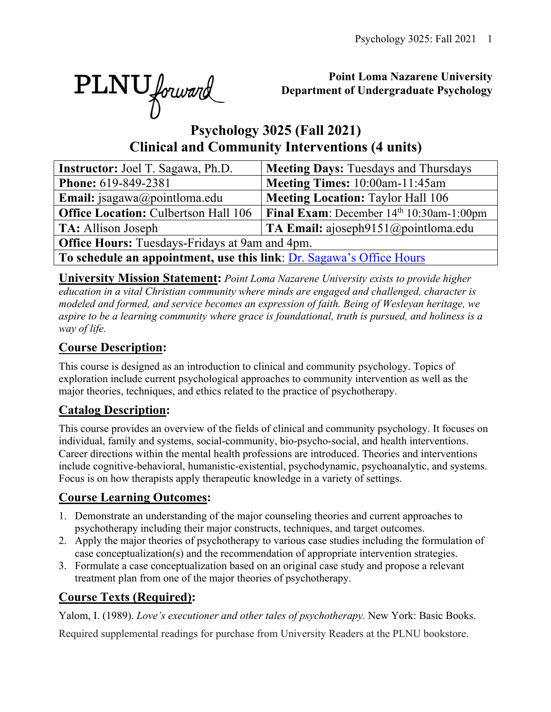

## **Point Loma Nazarene University Department of Undergraduate Psychology**

# **Psychology 3025 (Fall 2021) Clinical and Community Interventions (4 units)**

| <b>Instructor:</b> Joel T. Sagawa, Ph.D.                             | <b>Meeting Days: Tuesdays and Thursdays</b>        |  |  |  |  |  |  |  |
|----------------------------------------------------------------------|----------------------------------------------------|--|--|--|--|--|--|--|
| Phone: 619-849-2381                                                  | Meeting Times: 10:00am-11:45am                     |  |  |  |  |  |  |  |
| <b>Email:</b> jsagawa@pointloma.edu                                  | <b>Meeting Location: Taylor Hall 106</b>           |  |  |  |  |  |  |  |
| <b>Office Location: Culbertson Hall 106</b>                          | <b>Final Exam:</b> December $14th 10:30$ am-1:00pm |  |  |  |  |  |  |  |
| <b>TA:</b> Allison Joseph                                            | <b>TA Email:</b> ajoseph $9151$ (@pointloma.edu    |  |  |  |  |  |  |  |
| <b>Office Hours:</b> Tuesdays-Fridays at 9am and 4pm.                |                                                    |  |  |  |  |  |  |  |
| To schedule an appointment, use this link: Dr. Sagawa's Office Hours |                                                    |  |  |  |  |  |  |  |

**University Mission Statement:** *Point Loma Nazarene University exists to provide higher education in a vital Christian community where minds are engaged and challenged, character is modeled and formed, and service becomes an expression of faith. Being of Wesleyan heritage, we aspire to be a learning community where grace is foundational, truth is pursued, and holiness is a way of life.*

# **Course Description:**

This course is designed as an introduction to clinical and community psychology. Topics of exploration include current psychological approaches to community intervention as well as the major theories, techniques, and ethics related to the practice of psychotherapy.

# **Catalog Description:**

This course provides an overview of the fields of clinical and community psychology. It focuses on individual, family and systems, social-community, bio-psycho-social, and health interventions. Career directions within the mental health professions are introduced. Theories and interventions include cognitive-behavioral, humanistic-existential, psychodynamic, psychoanalytic, and systems. Focus is on how therapists apply therapeutic knowledge in a variety of settings.

# **Course Learning Outcomes:**

- 1. Demonstrate an understanding of the major counseling theories and current approaches to psychotherapy including their major constructs, techniques, and target outcomes.
- 2. Apply the major theories of psychotherapy to various case studies including the formulation of case conceptualization(s) and the recommendation of appropriate intervention strategies.
- 3. Formulate a case conceptualization based on an original case study and propose a relevant treatment plan from one of the major theories of psychotherapy.

# **Course Texts (Required):**

Yalom, I. (1989). *Love's executioner and other tales of psychotherapy.* New York: Basic Books.

Required supplemental readings for purchase from University Readers at the PLNU bookstore.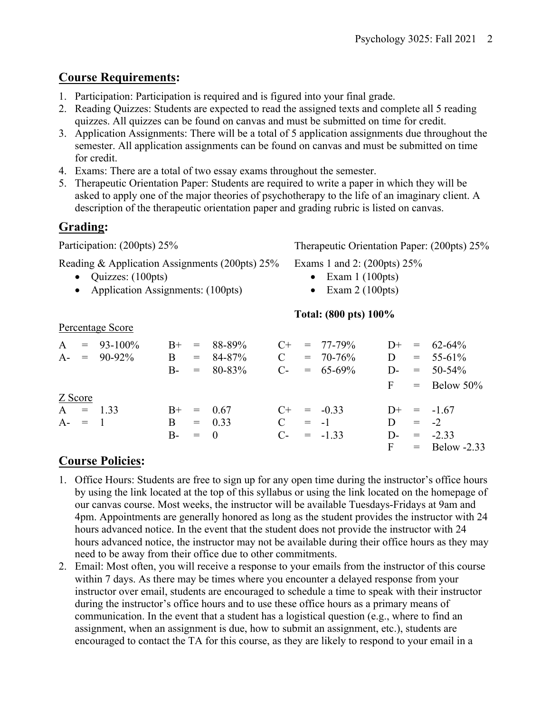## **Course Requirements:**

- 1. Participation: Participation is required and is figured into your final grade.
- 2. Reading Quizzes: Students are expected to read the assigned texts and complete all 5 reading quizzes. All quizzes can be found on canvas and must be submitted on time for credit.
- 3. Application Assignments: There will be a total of 5 application assignments due throughout the semester. All application assignments can be found on canvas and must be submitted on time for credit.
- 4. Exams: There are a total of two essay exams throughout the semester.
- 5. Therapeutic Orientation Paper: Students are required to write a paper in which they will be asked to apply one of the major theories of psychotherapy to the life of an imaginary client. A description of the therapeutic orientation paper and grading rubric is listed on canvas.

# **Grading:**

Participation: (200pts) 25% Therapeutic Orientation Paper: (200pts) 25%

Reading & Application Assignments (200pts) 25%

- Quizzes: (100pts)
- Application Assignments: (100pts)

Exams 1 and 2: (200pts) 25%

- Exam  $1(100pts)$
- Exam  $2(100pts)$

## **Total: (800 pts) 100%**

|           | $A = 93-100\%$<br>$A = 90-92\%$ | B         | $B_{+}$ = 88-89%<br>$= 84-87%$<br>$B - = 80-83\%$ | $\mathbf C$   | $C_{+}$ = 77-79%<br>$= 70 - 76\%$<br>$C_{-}$ = 65-69% | D | $D^+ = 62-64\%$<br>$= 55-61\%$<br>$D = 50-54\%$ |
|-----------|---------------------------------|-----------|---------------------------------------------------|---------------|-------------------------------------------------------|---|-------------------------------------------------|
|           |                                 |           |                                                   |               |                                                       |   | $F =$ Below 50%                                 |
| Z Score   |                                 |           |                                                   |               |                                                       |   |                                                 |
|           | $A = 1.33$                      |           | $B^+ = 0.67$                                      |               | $C^+$ = -0.33                                         |   | $D^+ = -1.67$                                   |
| $A - = 1$ |                                 | B.        | $= 0.33$                                          | $\mathcal{C}$ | $= -1$                                                | D | $= 2$                                           |
|           |                                 | $B - = 0$ |                                                   |               | $C_{-} = -1.33$                                       |   | $D = -2.33$                                     |
|           |                                 |           |                                                   |               |                                                       |   | $F = Below -2.33$                               |

# **Course Policies:**

Percentage Score

- 1. Office Hours: Students are free to sign up for any open time during the instructor's office hours by using the link located at the top of this syllabus or using the link located on the homepage of our canvas course. Most weeks, the instructor will be available Tuesdays-Fridays at 9am and 4pm. Appointments are generally honored as long as the student provides the instructor with 24 hours advanced notice. In the event that the student does not provide the instructor with 24 hours advanced notice, the instructor may not be available during their office hours as they may need to be away from their office due to other commitments.
- 2. Email: Most often, you will receive a response to your emails from the instructor of this course within 7 days. As there may be times where you encounter a delayed response from your instructor over email, students are encouraged to schedule a time to speak with their instructor during the instructor's office hours and to use these office hours as a primary means of communication. In the event that a student has a logistical question (e.g., where to find an assignment, when an assignment is due, how to submit an assignment, etc.), students are encouraged to contact the TA for this course, as they are likely to respond to your email in a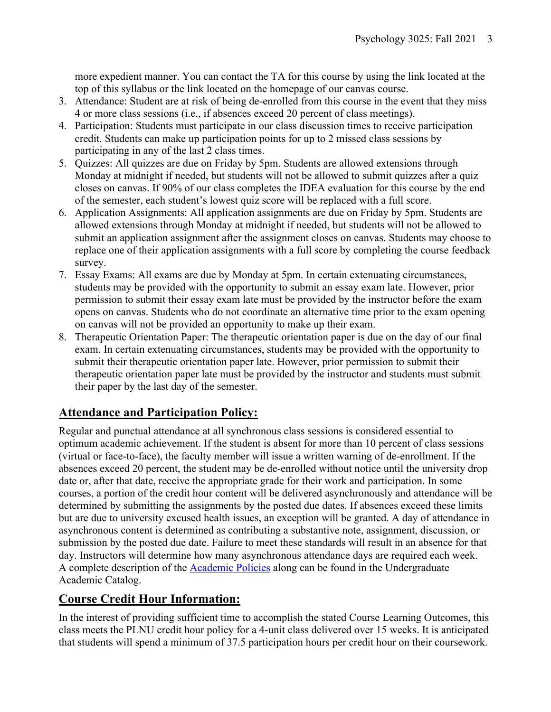more expedient manner. You can contact the TA for this course by using the link located at the top of this syllabus or the link located on the homepage of our canvas course.

- 3. Attendance: Student are at risk of being de-enrolled from this course in the event that they miss 4 or more class sessions (i.e., if absences exceed 20 percent of class meetings).
- 4. Participation: Students must participate in our class discussion times to receive participation credit. Students can make up participation points for up to 2 missed class sessions by participating in any of the last 2 class times.
- 5. Quizzes: All quizzes are due on Friday by 5pm. Students are allowed extensions through Monday at midnight if needed, but students will not be allowed to submit quizzes after a quiz closes on canvas. If 90% of our class completes the IDEA evaluation for this course by the end of the semester, each student's lowest quiz score will be replaced with a full score.
- 6. Application Assignments: All application assignments are due on Friday by 5pm. Students are allowed extensions through Monday at midnight if needed, but students will not be allowed to submit an application assignment after the assignment closes on canvas. Students may choose to replace one of their application assignments with a full score by completing the course feedback survey.
- 7. Essay Exams: All exams are due by Monday at 5pm. In certain extenuating circumstances, students may be provided with the opportunity to submit an essay exam late. However, prior permission to submit their essay exam late must be provided by the instructor before the exam opens on canvas. Students who do not coordinate an alternative time prior to the exam opening on canvas will not be provided an opportunity to make up their exam.
- 8. Therapeutic Orientation Paper: The therapeutic orientation paper is due on the day of our final exam. In certain extenuating circumstances, students may be provided with the opportunity to submit their therapeutic orientation paper late. However, prior permission to submit their therapeutic orientation paper late must be provided by the instructor and students must submit their paper by the last day of the semester.

## **Attendance and Participation Policy:**

Regular and punctual attendance at all synchronous class sessions is considered essential to optimum academic achievement. If the student is absent for more than 10 percent of class sessions (virtual or face-to-face), the faculty member will issue a written warning of de-enrollment. If the absences exceed 20 percent, the student may be de-enrolled without notice until the university drop date or, after that date, receive the appropriate grade for their work and participation. In some courses, a portion of the credit hour content will be delivered asynchronously and attendance will be determined by submitting the assignments by the posted due dates. If absences exceed these limits but are due to university excused health issues, an exception will be granted. A day of attendance in asynchronous content is determined as contributing a substantive note, assignment, discussion, or submission by the posted due date. Failure to meet these standards will result in an absence for that day. Instructors will determine how many asynchronous attendance days are required each week. A complete description of the Academic Policies along can be found in the Undergraduate Academic Catalog.

## **Course Credit Hour Information:**

In the interest of providing sufficient time to accomplish the stated Course Learning Outcomes, this class meets the PLNU credit hour policy for a 4-unit class delivered over 15 weeks. It is anticipated that students will spend a minimum of 37.5 participation hours per credit hour on their coursework.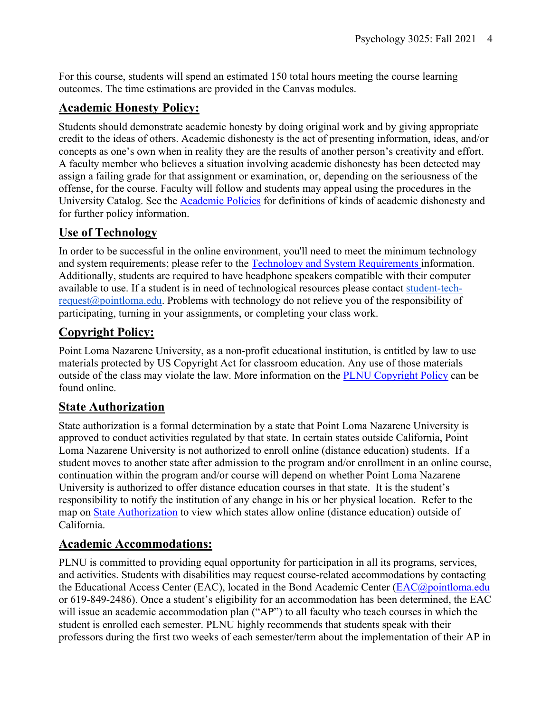For this course, students will spend an estimated 150 total hours meeting the course learning outcomes. The time estimations are provided in the Canvas modules.

## **Academic Honesty Policy:**

Students should demonstrate academic honesty by doing original work and by giving appropriate credit to the ideas of others. Academic dishonesty is the act of presenting information, ideas, and/or concepts as one's own when in reality they are the results of another person's creativity and effort. A faculty member who believes a situation involving academic dishonesty has been detected may assign a failing grade for that assignment or examination, or, depending on the seriousness of the offense, for the course. Faculty will follow and students may appeal using the procedures in the University Catalog. See the Academic Policies for definitions of kinds of academic dishonesty and for further policy information.

## **Use of Technology**

In order to be successful in the online environment, you'll need to meet the minimum technology and system requirements; please refer to the Technology and System Requirements information. Additionally, students are required to have headphone speakers compatible with their computer available to use. If a student is in need of technological resources please contact student-tech $request@pointloma.edu.$  Problems with technology do not relieve you of the responsibility of participating, turning in your assignments, or completing your class work.

## **Copyright Policy:**

Point Loma Nazarene University, as a non-profit educational institution, is entitled by law to use materials protected by US Copyright Act for classroom education. Any use of those materials outside of the class may violate the law. More information on the **PLNU** Copyright Policy can be found online.

## **State Authorization**

State authorization is a formal determination by a state that Point Loma Nazarene University is approved to conduct activities regulated by that state. In certain states outside California, Point Loma Nazarene University is not authorized to enroll online (distance education) students. If a student moves to another state after admission to the program and/or enrollment in an online course, continuation within the program and/or course will depend on whether Point Loma Nazarene University is authorized to offer distance education courses in that state. It is the student's responsibility to notify the institution of any change in his or her physical location. Refer to the map on State Authorization to view which states allow online (distance education) outside of California.

## **Academic Accommodations:**

PLNU is committed to providing equal opportunity for participation in all its programs, services, and activities. Students with disabilities may request course-related accommodations by contacting the Educational Access Center (EAC), located in the Bond Academic Center (EAC@pointloma.edu or 619-849-2486). Once a student's eligibility for an accommodation has been determined, the EAC will issue an academic accommodation plan ("AP") to all faculty who teach courses in which the student is enrolled each semester. PLNU highly recommends that students speak with their professors during the first two weeks of each semester/term about the implementation of their AP in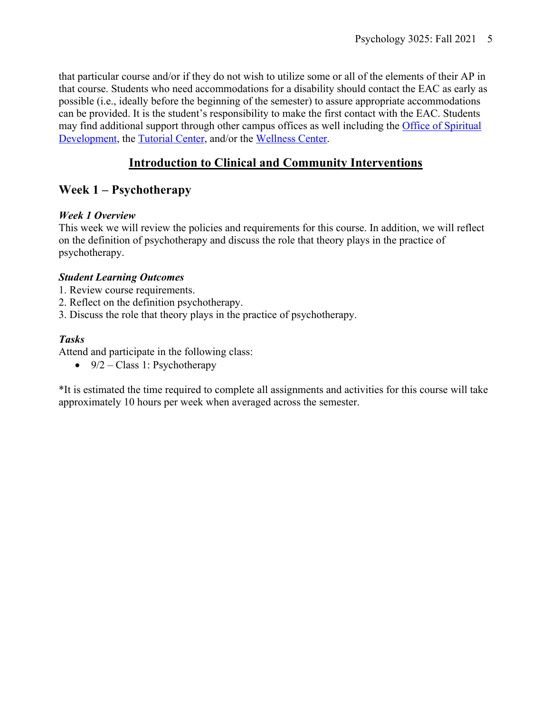that particular course and/or if they do not wish to utilize some or all of the elements of their AP in that course. Students who need accommodations for a disability should contact the EAC as early as possible (i.e., ideally before the beginning of the semester) to assure appropriate accommodations can be provided. It is the student's responsibility to make the first contact with the EAC. Students may find additional support through other campus offices as well including the Office of Spiritual Development, the Tutorial Center, and/or the Wellness Center.

## **Introduction to Clinical and Community Interventions**

## **Week 1 – Psychotherapy**

## *Week 1 Overview*

This week we will review the policies and requirements for this course. In addition, we will reflect on the definition of psychotherapy and discuss the role that theory plays in the practice of psychotherapy.

## *Student Learning Outcomes*

- 1. Review course requirements.
- 2. Reflect on the definition psychotherapy.
- 3. Discuss the role that theory plays in the practice of psychotherapy.

## *Tasks*

Attend and participate in the following class:

•  $9/2$  – Class 1: Psychotherapy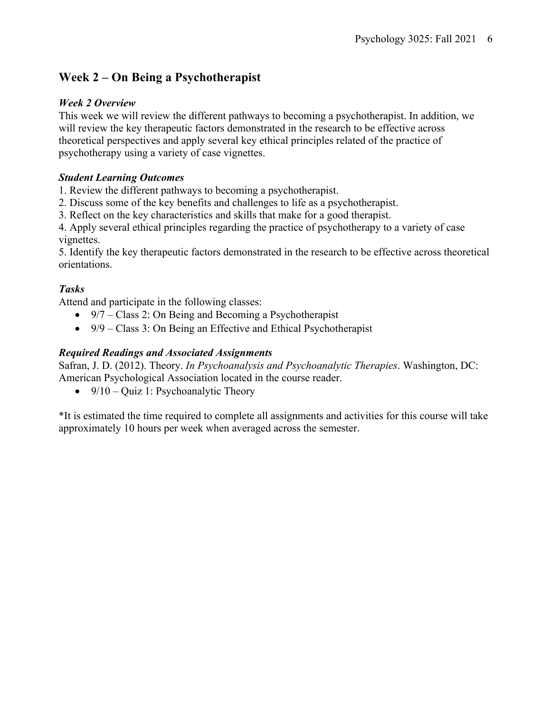## **Week 2 – On Being a Psychotherapist**

### *Week 2 Overview*

This week we will review the different pathways to becoming a psychotherapist. In addition, we will review the key therapeutic factors demonstrated in the research to be effective across theoretical perspectives and apply several key ethical principles related of the practice of psychotherapy using a variety of case vignettes.

#### *Student Learning Outcomes*

1. Review the different pathways to becoming a psychotherapist.

2. Discuss some of the key benefits and challenges to life as a psychotherapist.

3. Reflect on the key characteristics and skills that make for a good therapist.

4. Apply several ethical principles regarding the practice of psychotherapy to a variety of case vignettes.

5. Identify the key therapeutic factors demonstrated in the research to be effective across theoretical orientations.

### *Tasks*

Attend and participate in the following classes:

- 9/7 Class 2: On Being and Becoming a Psychotherapist
- 9/9 Class 3: On Being an Effective and Ethical Psychotherapist

### *Required Readings and Associated Assignments*

Safran, J. D. (2012). Theory. *In Psychoanalysis and Psychoanalytic Therapies*. Washington, DC: American Psychological Association located in the course reader.

• 9/10 – Quiz 1: Psychoanalytic Theory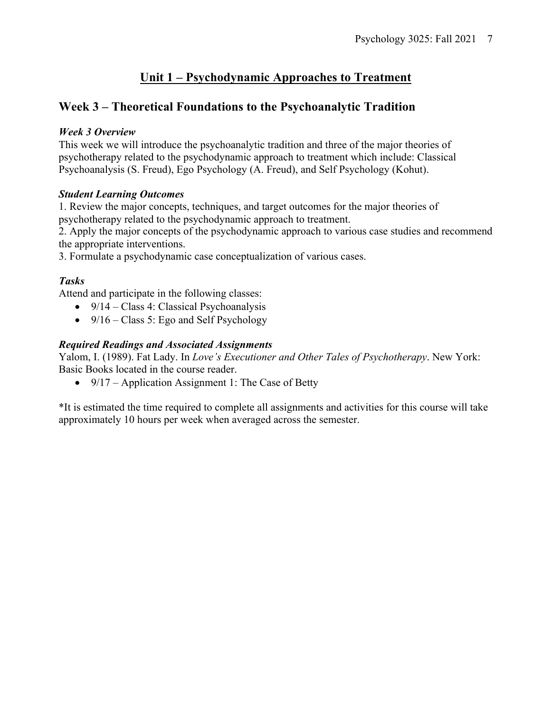## **Unit 1 – Psychodynamic Approaches to Treatment**

## **Week 3 – Theoretical Foundations to the Psychoanalytic Tradition**

#### *Week 3 Overview*

This week we will introduce the psychoanalytic tradition and three of the major theories of psychotherapy related to the psychodynamic approach to treatment which include: Classical Psychoanalysis (S. Freud), Ego Psychology (A. Freud), and Self Psychology (Kohut).

#### *Student Learning Outcomes*

1. Review the major concepts, techniques, and target outcomes for the major theories of psychotherapy related to the psychodynamic approach to treatment.

2. Apply the major concepts of the psychodynamic approach to various case studies and recommend the appropriate interventions.

3. Formulate a psychodynamic case conceptualization of various cases.

## *Tasks*

Attend and participate in the following classes:

- $9/14 Class 4$ : Classical Psychoanalysis
- $9/16 Class 5$ : Ego and Self Psychology

### *Required Readings and Associated Assignments*

Yalom, I. (1989). Fat Lady. In *Love's Executioner and Other Tales of Psychotherapy*. New York: Basic Books located in the course reader.

• 9/17 – Application Assignment 1: The Case of Betty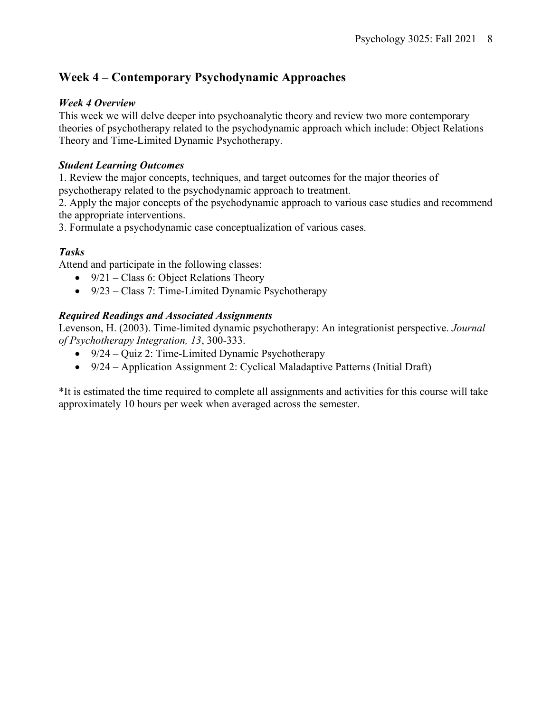## **Week 4 – Contemporary Psychodynamic Approaches**

### *Week 4 Overview*

This week we will delve deeper into psychoanalytic theory and review two more contemporary theories of psychotherapy related to the psychodynamic approach which include: Object Relations Theory and Time-Limited Dynamic Psychotherapy.

## *Student Learning Outcomes*

1. Review the major concepts, techniques, and target outcomes for the major theories of psychotherapy related to the psychodynamic approach to treatment.

2. Apply the major concepts of the psychodynamic approach to various case studies and recommend the appropriate interventions.

3. Formulate a psychodynamic case conceptualization of various cases.

## *Tasks*

Attend and participate in the following classes:

- $9/21$  Class 6: Object Relations Theory
- 9/23 Class 7: Time-Limited Dynamic Psychotherapy

## *Required Readings and Associated Assignments*

Levenson, H. (2003). Time-limited dynamic psychotherapy: An integrationist perspective. *Journal of Psychotherapy Integration, 13*, 300-333.

- 9/24 Quiz 2: Time-Limited Dynamic Psychotherapy
- 9/24 Application Assignment 2: Cyclical Maladaptive Patterns (Initial Draft)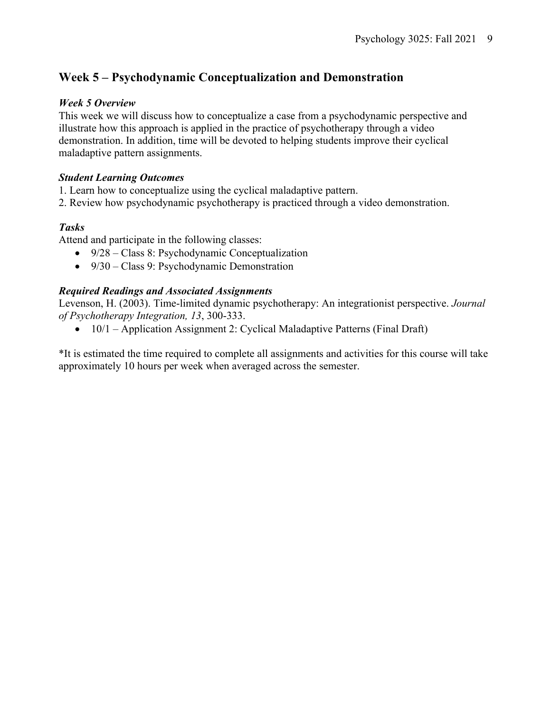## **Week 5 – Psychodynamic Conceptualization and Demonstration**

#### *Week 5 Overview*

This week we will discuss how to conceptualize a case from a psychodynamic perspective and illustrate how this approach is applied in the practice of psychotherapy through a video demonstration. In addition, time will be devoted to helping students improve their cyclical maladaptive pattern assignments.

#### *Student Learning Outcomes*

- 1. Learn how to conceptualize using the cyclical maladaptive pattern.
- 2. Review how psychodynamic psychotherapy is practiced through a video demonstration.

### *Tasks*

Attend and participate in the following classes:

- 9/28 Class 8: Psychodynamic Conceptualization
- 9/30 Class 9: Psychodynamic Demonstration

#### *Required Readings and Associated Assignments*

Levenson, H. (2003). Time-limited dynamic psychotherapy: An integrationist perspective. *Journal of Psychotherapy Integration, 13*, 300-333.

•  $10/1$  – Application Assignment 2: Cyclical Maladaptive Patterns (Final Draft)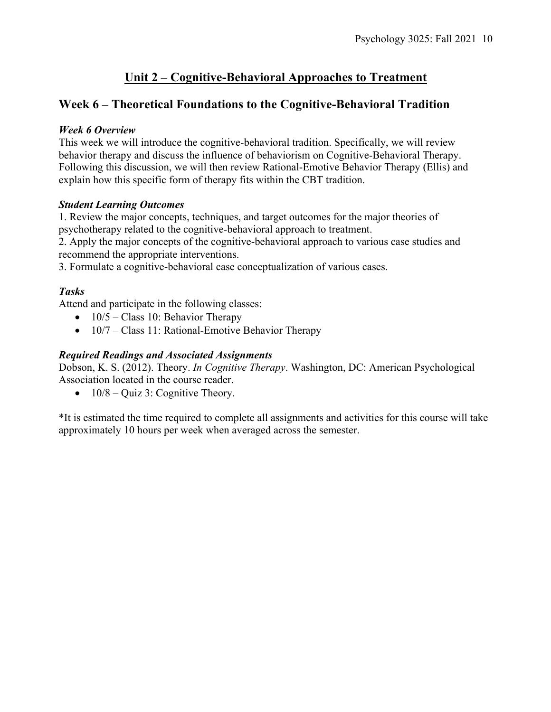## **Unit 2 – Cognitive-Behavioral Approaches to Treatment**

## **Week 6 – Theoretical Foundations to the Cognitive-Behavioral Tradition**

### *Week 6 Overview*

This week we will introduce the cognitive-behavioral tradition. Specifically, we will review behavior therapy and discuss the influence of behaviorism on Cognitive-Behavioral Therapy. Following this discussion, we will then review Rational-Emotive Behavior Therapy (Ellis) and explain how this specific form of therapy fits within the CBT tradition.

### *Student Learning Outcomes*

1. Review the major concepts, techniques, and target outcomes for the major theories of psychotherapy related to the cognitive-behavioral approach to treatment.

2. Apply the major concepts of the cognitive-behavioral approach to various case studies and recommend the appropriate interventions.

3. Formulate a cognitive-behavioral case conceptualization of various cases.

## *Tasks*

Attend and participate in the following classes:

- $10/5$  Class 10: Behavior Therapy
- $10/7$  Class 11: Rational-Emotive Behavior Therapy

### *Required Readings and Associated Assignments*

Dobson, K. S. (2012). Theory. *In Cognitive Therapy*. Washington, DC: American Psychological Association located in the course reader.

•  $10/8 -$ Quiz 3: Cognitive Theory.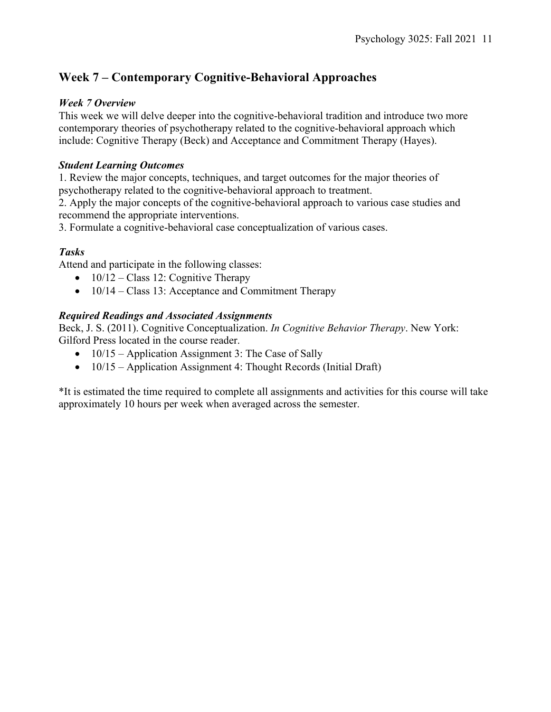## **Week 7 – Contemporary Cognitive-Behavioral Approaches**

### *Week 7 Overview*

This week we will delve deeper into the cognitive-behavioral tradition and introduce two more contemporary theories of psychotherapy related to the cognitive-behavioral approach which include: Cognitive Therapy (Beck) and Acceptance and Commitment Therapy (Hayes).

### *Student Learning Outcomes*

1. Review the major concepts, techniques, and target outcomes for the major theories of psychotherapy related to the cognitive-behavioral approach to treatment.

2. Apply the major concepts of the cognitive-behavioral approach to various case studies and recommend the appropriate interventions.

3. Formulate a cognitive-behavioral case conceptualization of various cases.

## *Tasks*

Attend and participate in the following classes:

- $10/12 Class 12$ : Cognitive Therapy
- 10/14 Class 13: Acceptance and Commitment Therapy

## *Required Readings and Associated Assignments*

Beck, J. S. (2011). Cognitive Conceptualization. *In Cognitive Behavior Therapy*. New York: Gilford Press located in the course reader.

- 10/15 Application Assignment 3: The Case of Sally
- 10/15 Application Assignment 4: Thought Records (Initial Draft)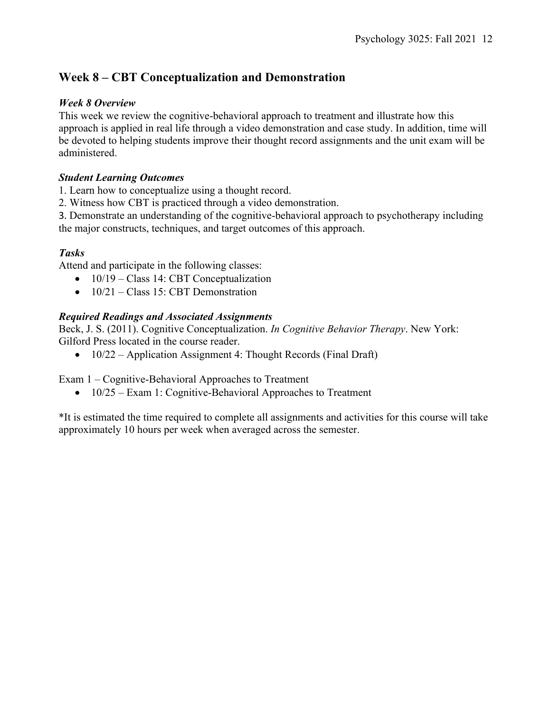## **Week 8 – CBT Conceptualization and Demonstration**

### *Week 8 Overview*

This week we review the cognitive-behavioral approach to treatment and illustrate how this approach is applied in real life through a video demonstration and case study. In addition, time will be devoted to helping students improve their thought record assignments and the unit exam will be administered.

### *Student Learning Outcomes*

1. Learn how to conceptualize using a thought record.

2. Witness how CBT is practiced through a video demonstration.

3. Demonstrate an understanding of the cognitive-behavioral approach to psychotherapy including the major constructs, techniques, and target outcomes of this approach.

## *Tasks*

Attend and participate in the following classes:

- 10/19 Class 14: CBT Conceptualization
- $\bullet$  10/21 Class 15: CBT Demonstration

## *Required Readings and Associated Assignments*

Beck, J. S. (2011). Cognitive Conceptualization. *In Cognitive Behavior Therapy*. New York: Gilford Press located in the course reader.

• 10/22 – Application Assignment 4: Thought Records (Final Draft)

Exam 1 – Cognitive-Behavioral Approaches to Treatment

•  $10/25$  – Exam 1: Cognitive-Behavioral Approaches to Treatment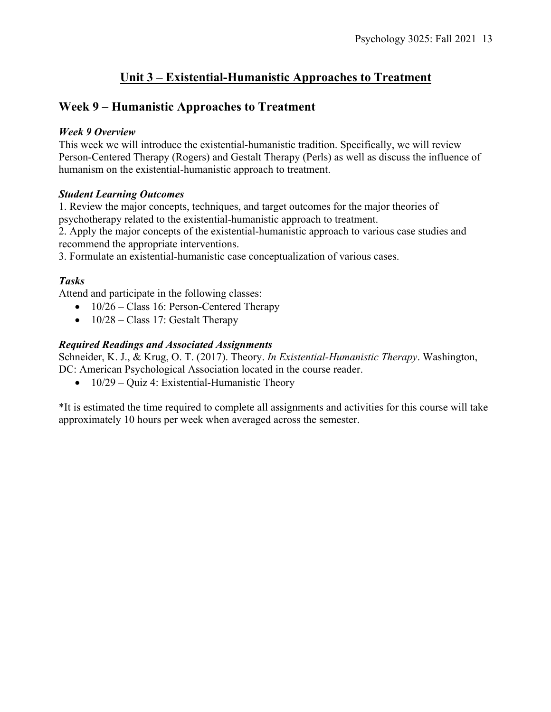## **Unit 3 – Existential-Humanistic Approaches to Treatment**

## **Week 9 – Humanistic Approaches to Treatment**

#### *Week 9 Overview*

This week we will introduce the existential-humanistic tradition. Specifically, we will review Person-Centered Therapy (Rogers) and Gestalt Therapy (Perls) as well as discuss the influence of humanism on the existential-humanistic approach to treatment.

#### *Student Learning Outcomes*

1. Review the major concepts, techniques, and target outcomes for the major theories of psychotherapy related to the existential-humanistic approach to treatment.

2. Apply the major concepts of the existential-humanistic approach to various case studies and recommend the appropriate interventions.

3. Formulate an existential-humanistic case conceptualization of various cases.

### *Tasks*

Attend and participate in the following classes:

- $10/26 Class 16$ : Person-Centered Therapy
- $10/28 Class 17$ : Gestalt Therapy

### *Required Readings and Associated Assignments*

Schneider, K. J., & Krug, O. T. (2017). Theory. *In Existential-Humanistic Therapy*. Washington, DC: American Psychological Association located in the course reader.

• 10/29 – Quiz 4: Existential-Humanistic Theory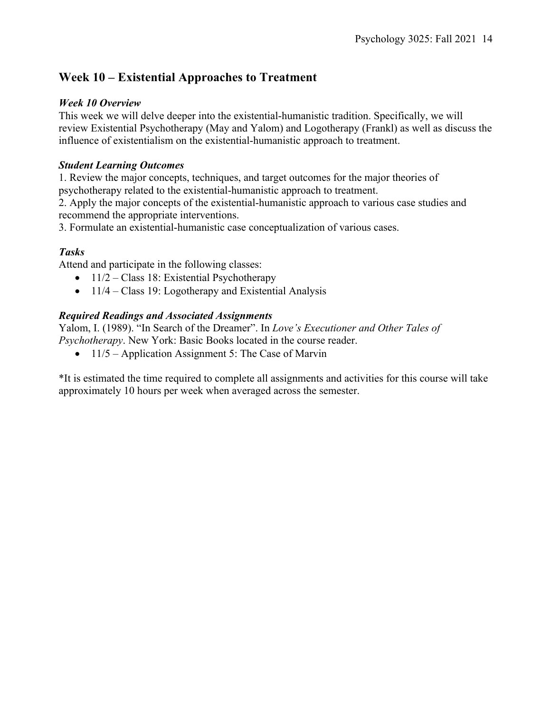## **Week 10 – Existential Approaches to Treatment**

#### *Week 10 Overview*

This week we will delve deeper into the existential-humanistic tradition. Specifically, we will review Existential Psychotherapy (May and Yalom) and Logotherapy (Frankl) as well as discuss the influence of existentialism on the existential-humanistic approach to treatment.

#### *Student Learning Outcomes*

1. Review the major concepts, techniques, and target outcomes for the major theories of psychotherapy related to the existential-humanistic approach to treatment.

2. Apply the major concepts of the existential-humanistic approach to various case studies and recommend the appropriate interventions.

3. Formulate an existential-humanistic case conceptualization of various cases.

## *Tasks*

Attend and participate in the following classes:

- $11/2$  Class 18: Existential Psychotherapy
- 11/4 Class 19: Logotherapy and Existential Analysis

#### *Required Readings and Associated Assignments*

Yalom, I. (1989). "In Search of the Dreamer". In *Love's Executioner and Other Tales of Psychotherapy*. New York: Basic Books located in the course reader.

• 11/5 – Application Assignment 5: The Case of Marvin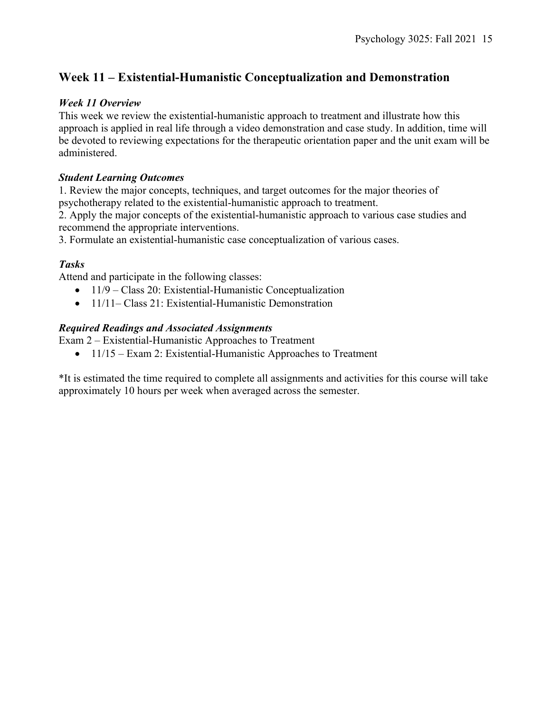## **Week 11 – Existential-Humanistic Conceptualization and Demonstration**

### *Week 11 Overview*

This week we review the existential-humanistic approach to treatment and illustrate how this approach is applied in real life through a video demonstration and case study. In addition, time will be devoted to reviewing expectations for the therapeutic orientation paper and the unit exam will be administered.

#### *Student Learning Outcomes*

1. Review the major concepts, techniques, and target outcomes for the major theories of psychotherapy related to the existential-humanistic approach to treatment.

2. Apply the major concepts of the existential-humanistic approach to various case studies and recommend the appropriate interventions.

3. Formulate an existential-humanistic case conceptualization of various cases.

## *Tasks*

Attend and participate in the following classes:

- 11/9 Class 20: Existential-Humanistic Conceptualization
- 11/11– Class 21: Existential-Humanistic Demonstration

### *Required Readings and Associated Assignments*

Exam 2 – Existential-Humanistic Approaches to Treatment

• 11/15 – Exam 2: Existential-Humanistic Approaches to Treatment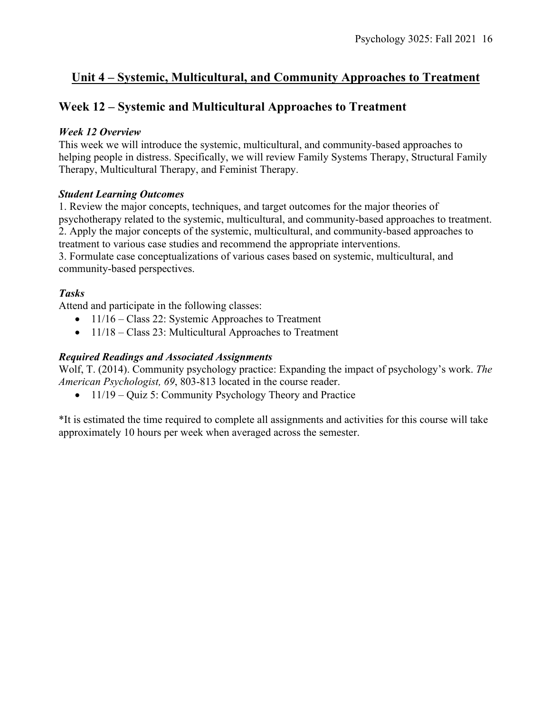## **Unit 4 – Systemic, Multicultural, and Community Approaches to Treatment**

## **Week 12 – Systemic and Multicultural Approaches to Treatment**

#### *Week 12 Overview*

This week we will introduce the systemic, multicultural, and community-based approaches to helping people in distress. Specifically, we will review Family Systems Therapy, Structural Family Therapy, Multicultural Therapy, and Feminist Therapy.

#### *Student Learning Outcomes*

1. Review the major concepts, techniques, and target outcomes for the major theories of psychotherapy related to the systemic, multicultural, and community-based approaches to treatment. 2. Apply the major concepts of the systemic, multicultural, and community-based approaches to treatment to various case studies and recommend the appropriate interventions.

3. Formulate case conceptualizations of various cases based on systemic, multicultural, and community-based perspectives.

### *Tasks*

Attend and participate in the following classes:

- $11/16 Class 22$ : Systemic Approaches to Treatment
- 11/18 Class 23: Multicultural Approaches to Treatment

### *Required Readings and Associated Assignments*

Wolf, T. (2014). Community psychology practice: Expanding the impact of psychology's work. *The American Psychologist, 69*, 803-813 located in the course reader.

• 11/19 – Quiz 5: Community Psychology Theory and Practice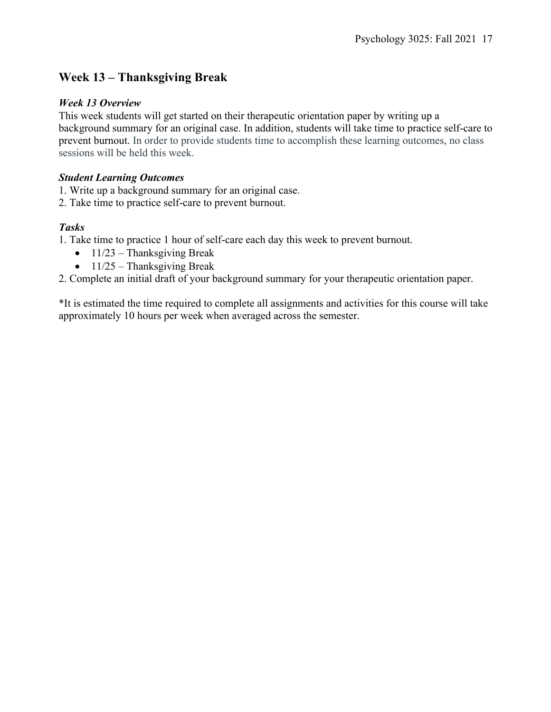## **Week 13 – Thanksgiving Break**

#### *Week 13 Overview*

This week students will get started on their therapeutic orientation paper by writing up a background summary for an original case. In addition, students will take time to practice self-care to prevent burnout. In order to provide students time to accomplish these learning outcomes, no class sessions will be held this week.

#### *Student Learning Outcomes*

1. Write up a background summary for an original case.

2. Take time to practice self-care to prevent burnout.

### *Tasks*

1. Take time to practice 1 hour of self-care each day this week to prevent burnout.

- $11/23$  Thanksgiving Break
- $11/25$  Thanksgiving Break

2. Complete an initial draft of your background summary for your therapeutic orientation paper.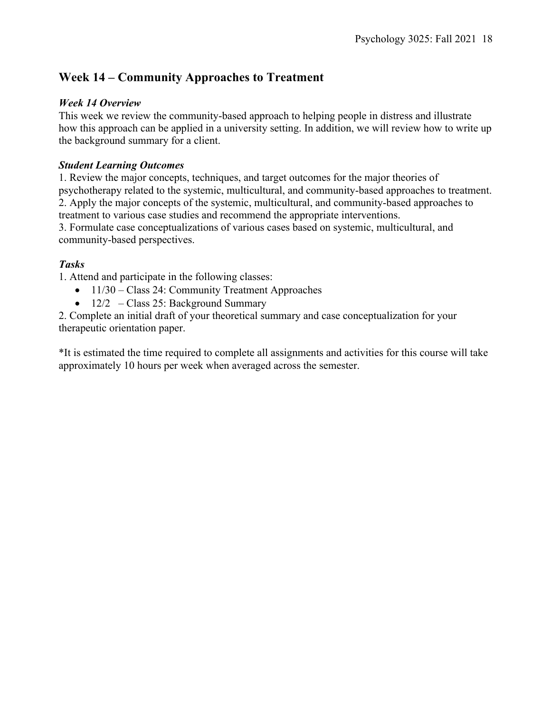## **Week 14 – Community Approaches to Treatment**

## *Week 14 Overview*

This week we review the community-based approach to helping people in distress and illustrate how this approach can be applied in a university setting. In addition, we will review how to write up the background summary for a client.

### *Student Learning Outcomes*

1. Review the major concepts, techniques, and target outcomes for the major theories of psychotherapy related to the systemic, multicultural, and community-based approaches to treatment. 2. Apply the major concepts of the systemic, multicultural, and community-based approaches to treatment to various case studies and recommend the appropriate interventions.

3. Formulate case conceptualizations of various cases based on systemic, multicultural, and community-based perspectives.

## *Tasks*

1. Attend and participate in the following classes:

- 11/30 Class 24: Community Treatment Approaches
- $12/2$  Class 25: Background Summary

2. Complete an initial draft of your theoretical summary and case conceptualization for your therapeutic orientation paper.